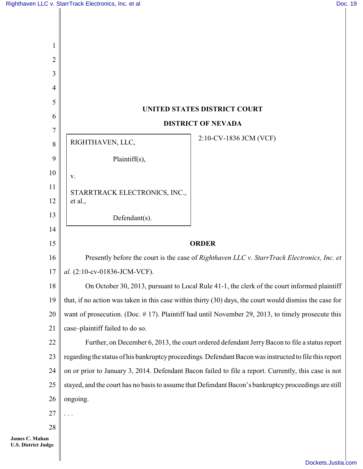